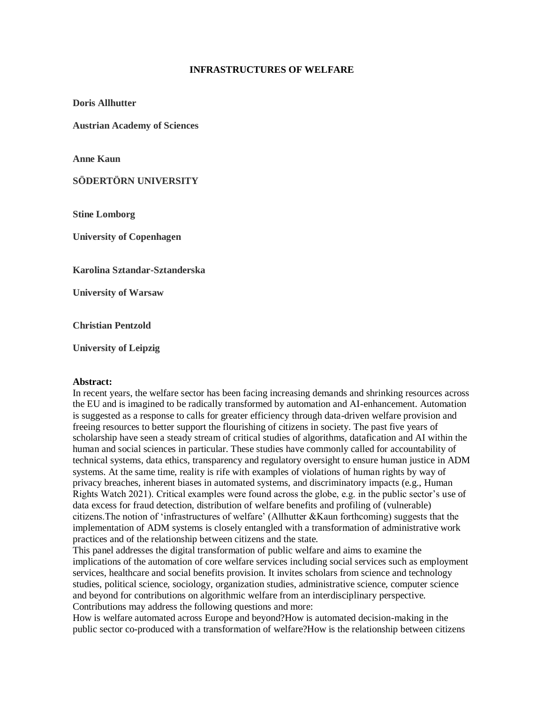## **INFRASTRUCTURES OF WELFARE**

**Doris Allhutter**

**Austrian Academy of Sciences**

**Anne Kaun**

**SÖDERTÖRN UNIVERSITY**

**Stine Lomborg**

**University of Copenhagen**

**Karolina Sztandar-Sztanderska**

**University of Warsaw**

**Christian Pentzold**

**University of Leipzig**

## **Abstract:**

In recent years, the welfare sector has been facing increasing demands and shrinking resources across the EU and is imagined to be radically transformed by automation and AI-enhancement. Automation is suggested as a response to calls for greater efficiency through data-driven welfare provision and freeing resources to better support the flourishing of citizens in society. The past five years of scholarship have seen a steady stream of critical studies of algorithms, datafication and AI within the human and social sciences in particular. These studies have commonly called for accountability of technical systems, data ethics, transparency and regulatory oversight to ensure human justice in ADM systems. At the same time, reality is rife with examples of violations of human rights by way of privacy breaches, inherent biases in automated systems, and discriminatory impacts (e.g., Human Rights Watch 2021). Critical examples were found across the globe, e.g. in the public sector's use of data excess for fraud detection, distribution of welfare benefits and profiling of (vulnerable) citizens.The notion of 'infrastructures of welfare' (Allhutter &Kaun forthcoming) suggests that the implementation of ADM systems is closely entangled with a transformation of administrative work practices and of the relationship between citizens and the state.

This panel addresses the digital transformation of public welfare and aims to examine the implications of the automation of core welfare services including social services such as employment services, healthcare and social benefits provision. It invites scholars from science and technology studies, political science, sociology, organization studies, administrative science, computer science and beyond for contributions on algorithmic welfare from an interdisciplinary perspective. Contributions may address the following questions and more:

How is welfare automated across Europe and beyond?How is automated decision-making in the public sector co-produced with a transformation of welfare?How is the relationship between citizens